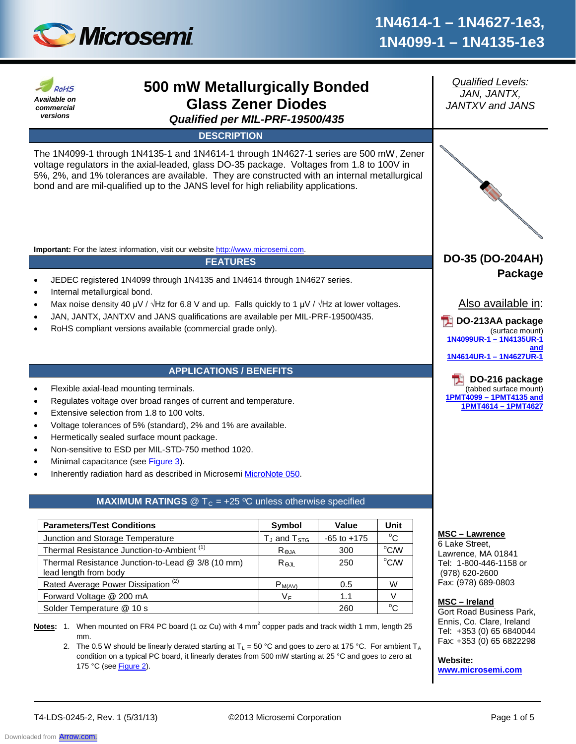

| Available on<br>commercial<br>versions         | 500 mW Metallurgically Bonded<br><b>Glass Zener Diodes</b><br>Qualified per MIL-PRF-19500/435                                                                                                                                                                                                                                                                                                                                                                                                                   |                            |                 |                | <b>Qualified Levels:</b><br>JAN, JANTX,<br><b>JANTXV</b> and <b>JANS</b>                                               |
|------------------------------------------------|-----------------------------------------------------------------------------------------------------------------------------------------------------------------------------------------------------------------------------------------------------------------------------------------------------------------------------------------------------------------------------------------------------------------------------------------------------------------------------------------------------------------|----------------------------|-----------------|----------------|------------------------------------------------------------------------------------------------------------------------|
|                                                | <b>DESCRIPTION</b>                                                                                                                                                                                                                                                                                                                                                                                                                                                                                              |                            |                 |                |                                                                                                                        |
|                                                | The 1N4099-1 through 1N4135-1 and 1N4614-1 through 1N4627-1 series are 500 mW, Zener<br>voltage regulators in the axial-leaded, glass DO-35 package. Voltages from 1.8 to 100V in<br>5%, 2%, and 1% tolerances are available. They are constructed with an internal metallurgical<br>bond and are mil-qualified up to the JANS level for high reliability applications.                                                                                                                                         |                            |                 |                |                                                                                                                        |
|                                                | Important: For the latest information, visit our website http://www.microsemi.com.                                                                                                                                                                                                                                                                                                                                                                                                                              |                            |                 |                |                                                                                                                        |
|                                                | <b>FEATURES</b>                                                                                                                                                                                                                                                                                                                                                                                                                                                                                                 |                            |                 |                | DO-35 (DO-204AH)                                                                                                       |
| Internal metallurgical bond.                   | JEDEC registered 1N4099 through 1N4135 and 1N4614 through 1N4627 series.<br>Max noise density 40 $\mu$ V / $\sqrt{Hz}$ for 6.8 V and up. Falls quickly to 1 $\mu$ V / $\sqrt{Hz}$ at lower voltages.<br>JAN, JANTX, JANTXV and JANS qualifications are available per MIL-PRF-19500/435.<br>RoHS compliant versions available (commercial grade only).                                                                                                                                                           |                            |                 |                | Package<br>Also available in:<br>DO-213AA package<br>(surface mount)<br>1N4099UR-1-1N4135UR-1<br>1N4614UR-1-1N4627UR-1 |
|                                                | <b>APPLICATIONS / BENEFITS</b>                                                                                                                                                                                                                                                                                                                                                                                                                                                                                  |                            |                 |                |                                                                                                                        |
|                                                | Flexible axial-lead mounting terminals.<br>Regulates voltage over broad ranges of current and temperature.<br>Extensive selection from 1.8 to 100 volts.<br>Voltage tolerances of 5% (standard), 2% and 1% are available.<br>Hermetically sealed surface mount package.<br>Non-sensitive to ESD per MIL-STD-750 method 1020.<br>Minimal capacitance (see Figure 3).<br>Inherently radiation hard as described in Microsemi MicroNote 050.<br><b>MAXIMUM RATINGS</b> @ $T_c$ = +25 °C unless otherwise specified |                            |                 |                | DO-216 package<br>(tabbed surface mount)<br>1PMT4099 - 1PMT4135 and<br>1PMT4614 - 1PMT4627                             |
| <b>Parameters/Test Conditions</b>              |                                                                                                                                                                                                                                                                                                                                                                                                                                                                                                                 | Symbol                     | Value           | Unit           |                                                                                                                        |
| Junction and Storage Temperature               |                                                                                                                                                                                                                                                                                                                                                                                                                                                                                                                 | $T_J$ and $T_{STG}$        | $-65$ to $+175$ | $^{\circ}$ C   | <b>MSC - Lawrence</b><br>6 Lake Street,                                                                                |
|                                                | Thermal Resistance Junction-to-Ambient <sup>(1)</sup>                                                                                                                                                                                                                                                                                                                                                                                                                                                           | $R_{\underline{\Theta}$ JA | 300             | $^{\circ}$ C/W | Lawrence, MA 01841                                                                                                     |
| lead length from body                          | Thermal Resistance Junction-to-Lead @ 3/8 (10 mm)                                                                                                                                                                                                                                                                                                                                                                                                                                                               | $R_{\theta$ JL             | 250             | °C/W           | Tel: 1-800-446-1158 or<br>(978) 620-2600                                                                               |
| Rated Average Power Dissipation <sup>(2)</sup> |                                                                                                                                                                                                                                                                                                                                                                                                                                                                                                                 | $P_{M(AV)}$                | 0.5             | W              | Fax: (978) 689-0803                                                                                                    |
| Forward Voltage @ 200 mA                       |                                                                                                                                                                                                                                                                                                                                                                                                                                                                                                                 | $V_F$                      | 1.1             | $\vee$         | MSC-Ireland                                                                                                            |
| Solder Temperature @ 10 s                      |                                                                                                                                                                                                                                                                                                                                                                                                                                                                                                                 |                            | 260             | $^{\circ}$ C   | Gort Road Business Park,                                                                                               |
| mm.<br>175 °C (see Figure 2).                  | Notes: 1. When mounted on FR4 PC board (1 oz Cu) with 4 mm <sup>2</sup> copper pads and track width 1 mm, length 25<br>2. The 0.5 W should be linearly derated starting at $T_L = 50$ °C and goes to zero at 175 °C. For ambient $T_A$<br>condition on a typical PC board, it linearly derates from 500 mW starting at 25 °C and goes to zero at                                                                                                                                                                |                            |                 |                | Ennis, Co. Clare, Ireland<br>Tel: +353 (0) 65 6840044<br>Fax: +353 (0) 65 6822298<br>Website:<br>www.microsemi.com     |

T4-LDS-0245-2, Rev. 1 (5/31/13) ©2013 Microsemi Corporation Page 1 of 5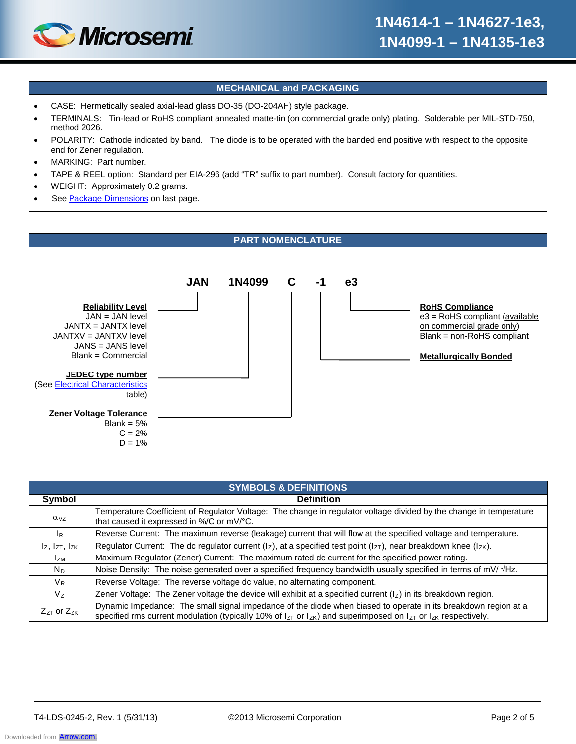

# **MECHANICAL and PACKAGING**

- CASE: Hermetically sealed axial-lead glass DO-35 (DO-204AH) style package.
- TERMINALS: Tin-lead or RoHS compliant annealed matte-tin (on commercial grade only) plating. Solderable per MIL-STD-750, method 2026.
- POLARITY: Cathode indicated by band. The diode is to be operated with the banded end positive with respect to the opposite end for Zener regulation.
- MARKING: Part number.
- TAPE & REEL option: Standard per EIA-296 (add "TR" suffix to part number). Consult factory for quantities.
- WEIGHT: Approximately 0.2 grams.
- See Package Dimensions on last page.

## **PART NOMENCLATURE**



| <b>SYMBOLS &amp; DEFINITIONS</b> |                                                                                                                                                                                                                                                    |  |  |  |  |
|----------------------------------|----------------------------------------------------------------------------------------------------------------------------------------------------------------------------------------------------------------------------------------------------|--|--|--|--|
| Symbol                           | <b>Definition</b>                                                                                                                                                                                                                                  |  |  |  |  |
| $\alpha_{VZ}$                    | Temperature Coefficient of Regulator Voltage: The change in regulator voltage divided by the change in temperature<br>that caused it expressed in %/C or mV/°C.                                                                                    |  |  |  |  |
| $I_R$                            | Reverse Current: The maximum reverse (leakage) current that will flow at the specified voltage and temperature.                                                                                                                                    |  |  |  |  |
| $I_z$ , $I_{ZT}$ , $I_{ZK}$      | Regulator Current: The dc regulator current ( $I_z$ ), at a specified test point ( $I_{ZT}$ ), near breakdown knee ( $I_{ZK}$ ).                                                                                                                   |  |  |  |  |
| lzm                              | Maximum Regulator (Zener) Current: The maximum rated dc current for the specified power rating.                                                                                                                                                    |  |  |  |  |
| $N_D$                            | Noise Density: The noise generated over a specified frequency bandwidth usually specified in terms of mV/ $\forall$ Hz.                                                                                                                            |  |  |  |  |
| $V_{R}$                          | Reverse Voltage: The reverse voltage dc value, no alternating component.                                                                                                                                                                           |  |  |  |  |
| V <sub>z</sub>                   | Zener Voltage: The Zener voltage the device will exhibit at a specified current $(1Z)$ in its breakdown region.                                                                                                                                    |  |  |  |  |
| $Z_{ZT}$ or $Z_{ZK}$             | Dynamic Impedance: The small signal impedance of the diode when biased to operate in its breakdown region at a<br>specified rms current modulation (typically 10% of $I_{ZT}$ or $I_{ZK}$ ) and superimposed on $I_{ZT}$ or $I_{ZK}$ respectively. |  |  |  |  |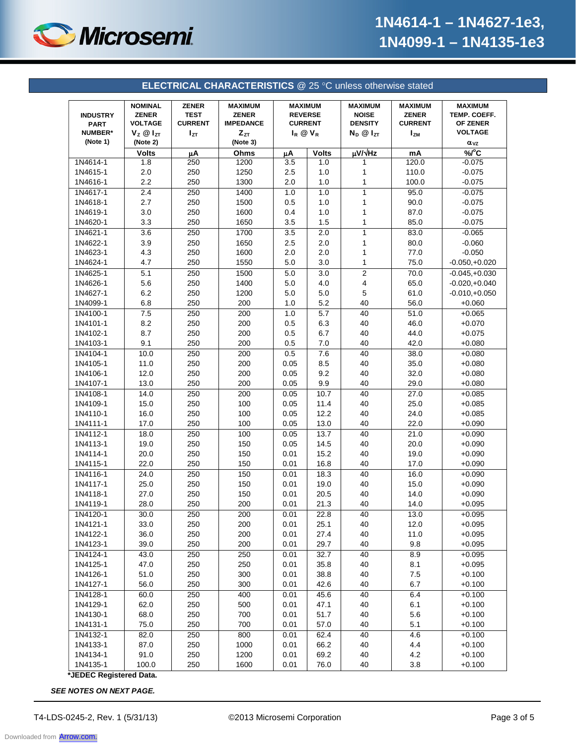

| <b>ELECTRICAL CHARACTERISTICS @ 25 °C unless otherwise stated</b> |                                                                                      |                                                      |                                                                            |                                                                             |              |                                                                        |                                                                |                                                                               |
|-------------------------------------------------------------------|--------------------------------------------------------------------------------------|------------------------------------------------------|----------------------------------------------------------------------------|-----------------------------------------------------------------------------|--------------|------------------------------------------------------------------------|----------------------------------------------------------------|-------------------------------------------------------------------------------|
| <b>INDUSTRY</b><br><b>PART</b><br><b>NUMBER*</b><br>(Note 1)      | <b>NOMINAL</b><br><b>ZENER</b><br><b>VOLTAGE</b><br>$V_z \otimes I_{ZT}$<br>(Note 2) | <b>ZENER</b><br><b>TEST</b><br><b>CURRENT</b><br>Izτ | <b>MAXIMUM</b><br><b>ZENER</b><br><b>IMPEDANCE</b><br>$Z_{ZT}$<br>(Note 3) | <b>MAXIMUM</b><br><b>REVERSE</b><br><b>CURRENT</b><br>$I_R$ $\otimes$ $V_R$ |              | <b>MAXIMUM</b><br><b>NOISE</b><br><b>DENSITY</b><br>$N_D$ $@$ $I_{ZT}$ | <b>MAXIMUM</b><br><b>ZENER</b><br><b>CURRENT</b><br><b>IzM</b> | <b>MAXIMUM</b><br>TEMP. COEFF.<br>OF ZENER<br><b>VOLTAGE</b><br>$\alpha_{VZ}$ |
|                                                                   | <b>Volts</b>                                                                         | μA                                                   | Ohms                                                                       | μA                                                                          | <b>Volts</b> | µV/vHz                                                                 | mA                                                             | %C                                                                            |
| 1N4614-1                                                          | 1.8                                                                                  | 250                                                  | 1200                                                                       | 3.5                                                                         | 1.0          | 1                                                                      | 120.0                                                          | $-0.075$                                                                      |
| 1N4615-1                                                          | 2.0                                                                                  | 250                                                  | 1250                                                                       | 2.5                                                                         | 1.0          | 1                                                                      | 110.0                                                          | $-0.075$                                                                      |
| 1N4616-1                                                          | 2.2                                                                                  | 250                                                  | 1300                                                                       | 2.0                                                                         | 1.0          | 1                                                                      | 100.0                                                          | $-0.075$                                                                      |
| 1N4617-1                                                          | 2.4                                                                                  | 250                                                  | 1400                                                                       | 1.0                                                                         | 1.0          | 1                                                                      | 95.0                                                           | $-0.075$                                                                      |
| 1N4618-1                                                          | 2.7                                                                                  | 250                                                  | 1500                                                                       | 0.5                                                                         | 1.0          | 1                                                                      | 90.0                                                           | $-0.075$                                                                      |
| 1N4619-1                                                          | 3.0                                                                                  | 250                                                  | 1600                                                                       | 0.4                                                                         | 1.0          | 1                                                                      | 87.0                                                           | $-0.075$                                                                      |
| 1N4620-1                                                          | 3.3                                                                                  | 250                                                  | 1650                                                                       | 3.5                                                                         | 1.5          | 1                                                                      | 85.0                                                           | $-0.075$                                                                      |
| 1N4621-1                                                          | 3.6                                                                                  | 250                                                  | 1700                                                                       | 3.5                                                                         | 2.0          | $\mathbf{1}$                                                           | 83.0                                                           | $-0.065$                                                                      |
| 1N4622-1                                                          | 3.9                                                                                  | 250                                                  | 1650                                                                       | 2.5                                                                         | 2.0          | 1                                                                      | 80.0                                                           | $-0.060$                                                                      |
| 1N4623-1                                                          | 4.3                                                                                  | 250                                                  | 1600                                                                       | 2.0                                                                         | 2.0          | 1                                                                      | 77.0                                                           | $-0.050$                                                                      |
| 1N4624-1                                                          | 4.7                                                                                  | 250                                                  | 1550                                                                       | 5.0                                                                         | 3.0          | 1                                                                      | 75.0                                                           | $-0.050,+0.020$                                                               |
| 1N4625-1                                                          | 5.1                                                                                  | 250                                                  | 1500                                                                       | 5.0                                                                         | 3.0          | 2                                                                      | 70.0                                                           | $-0.045,+0.030$                                                               |
| 1N4626-1                                                          | 5.6                                                                                  | 250                                                  | 1400                                                                       | 5.0                                                                         | 4.0          | 4                                                                      | 65.0                                                           | $-0.020,+0.040$                                                               |
| 1N4627-1                                                          | 6.2                                                                                  | 250                                                  | 1200                                                                       | 5.0                                                                         | 5.0          | 5                                                                      | 61.0                                                           | $-0.010,+0.050$                                                               |
| 1N4099-1                                                          | 6.8                                                                                  | 250                                                  | 200                                                                        | 1.0                                                                         | 5.2          | 40                                                                     | 56.0                                                           | $+0.060$                                                                      |
| 1N4100-1                                                          | 7.5                                                                                  | 250                                                  | 200                                                                        | 1.0                                                                         | 5.7          | 40                                                                     | 51.0                                                           | $+0.065$                                                                      |
| 1N4101-1                                                          | 8.2                                                                                  | 250                                                  | 200                                                                        | 0.5                                                                         | 6.3          | 40                                                                     | 46.0                                                           | $+0.070$                                                                      |
| 1N4102-1                                                          | 8.7                                                                                  | 250                                                  | 200                                                                        | 0.5                                                                         | 6.7          | 40                                                                     | 44.0                                                           | $+0.075$                                                                      |
| 1N4103-1                                                          | 9.1                                                                                  | 250                                                  | 200                                                                        | 0.5                                                                         | 7.0          | 40                                                                     | 42.0                                                           | $+0.080$                                                                      |
| 1N4104-1                                                          | 10.0                                                                                 | 250                                                  | 200                                                                        | 0.5                                                                         | 7.6          | 40                                                                     | 38.0                                                           | $+0.080$                                                                      |
| 1N4105-1                                                          | 11.0                                                                                 | 250                                                  | 200                                                                        | 0.05                                                                        | 8.5          | 40                                                                     | 35.0                                                           | $+0.080$                                                                      |
| 1N4106-1                                                          | 12.0                                                                                 | 250                                                  | 200                                                                        | 0.05                                                                        | 9.2          | 40                                                                     | 32.0                                                           | $+0.080$                                                                      |
| 1N4107-1                                                          | 13.0                                                                                 | 250                                                  | 200                                                                        | 0.05                                                                        | 9.9          | 40                                                                     | 29.0                                                           | $+0.080$                                                                      |
| 1N4108-1                                                          | 14.0                                                                                 | 250                                                  | 200                                                                        | 0.05                                                                        | 10.7         | 40                                                                     | 27.0                                                           | $+0.085$                                                                      |
| 1N4109-1                                                          | 15.0                                                                                 | 250                                                  | 100                                                                        | 0.05                                                                        | 11.4         | 40                                                                     | 25.0                                                           | $+0.085$                                                                      |
| 1N4110-1                                                          | 16.0                                                                                 | 250                                                  | 100                                                                        | 0.05                                                                        | 12.2         | 40                                                                     | 24.0                                                           | $+0.085$                                                                      |
| 1N4111-1                                                          | 17.0                                                                                 | 250                                                  | 100                                                                        | 0.05                                                                        | 13.0         | 40                                                                     | 22.0                                                           | $+0.090$                                                                      |
| 1N4112-1                                                          | 18.0                                                                                 | 250                                                  | 100                                                                        | 0.05                                                                        | 13.7         | 40                                                                     | 21.0                                                           | $+0.090$                                                                      |
| 1N4113-1                                                          | 19.0                                                                                 | 250                                                  | 150                                                                        | 0.05                                                                        | 14.5         | 40                                                                     | 20.0                                                           | $+0.090$                                                                      |
| 1N4114-1                                                          | 20.0                                                                                 | 250                                                  | 150                                                                        | 0.01                                                                        | 15.2         | 40                                                                     | 19.0                                                           | $+0.090$                                                                      |
| 1N4115-1                                                          | 22.0                                                                                 | 250                                                  | 150                                                                        | 0.01                                                                        | 16.8         | 40                                                                     | 17.0                                                           | $+0.090$                                                                      |
| 1N4116-1                                                          | 24.0                                                                                 | 250                                                  | 150                                                                        | 0.01                                                                        | 18.3         | 40                                                                     | 16.0                                                           | $+0.090$                                                                      |
| 1N4117-1                                                          | 25.0                                                                                 | 250                                                  | 150                                                                        | 0.01                                                                        | 19.0         | 40                                                                     | 15.0                                                           | $+0.090$                                                                      |
| 1N4118-1                                                          | 27.0                                                                                 | 250                                                  | 150                                                                        | 0.01                                                                        | 20.5         | 40                                                                     | 14.0                                                           | $+0.090$                                                                      |
| 1N4119-1                                                          | 28.0                                                                                 | 250                                                  | 200                                                                        | 0.01                                                                        | 21.3         | 40                                                                     | 14.0                                                           | $+0.095$                                                                      |
| 1N4120-1                                                          | 30.0                                                                                 | 250                                                  | 200                                                                        | 0.01                                                                        | 22.8         | 40                                                                     | 13.0                                                           | $+0.095$                                                                      |
| 1N4121-1                                                          | 33.0                                                                                 | 250                                                  | 200                                                                        | 0.01                                                                        | 25.1         | 40                                                                     | 12.0                                                           | $+0.095$                                                                      |
| 1N4122-1                                                          | 36.0                                                                                 | 250                                                  | 200                                                                        | 0.01                                                                        | 27.4         | 40                                                                     | 11.0                                                           | $+0.095$                                                                      |
| 1N4123-1                                                          | 39.0                                                                                 | 250                                                  | 200                                                                        | 0.01                                                                        | 29.7         | 40                                                                     | 9.8                                                            | $+0.095$                                                                      |
| 1N4124-1                                                          | 43.0                                                                                 | 250                                                  | 250                                                                        | 0.01                                                                        | 32.7         | 40                                                                     | 8.9                                                            | $+0.095$                                                                      |
| 1N4125-1                                                          | 47.0                                                                                 | 250                                                  | 250                                                                        | 0.01                                                                        | 35.8         | 40                                                                     | 8.1                                                            | $+0.095$                                                                      |
|                                                                   |                                                                                      |                                                      |                                                                            |                                                                             |              |                                                                        |                                                                |                                                                               |
| 1N4126-1<br>1N4127-1                                              | 51.0<br>56.0                                                                         | 250<br>250                                           | 300<br>300                                                                 | 0.01<br>0.01                                                                | 38.8<br>42.6 | 40<br>40                                                               | $7.5\,$<br>6.7                                                 | $+0.100$<br>$+0.100$                                                          |
| 1N4128-1                                                          |                                                                                      | 250                                                  | 400                                                                        | 0.01                                                                        | 45.6         | 40                                                                     | 6.4                                                            | $+0.100$                                                                      |
| 1N4129-1                                                          | 60.0                                                                                 |                                                      | 500                                                                        | 0.01                                                                        |              | 40                                                                     | 6.1                                                            | $+0.100$                                                                      |
| 1N4130-1                                                          | 62.0                                                                                 | 250                                                  |                                                                            |                                                                             | 47.1         |                                                                        |                                                                |                                                                               |
|                                                                   | 68.0                                                                                 | 250                                                  | 700                                                                        | 0.01                                                                        | 51.7         | 40                                                                     | 5.6                                                            | $+0.100$                                                                      |
| 1N4131-1                                                          | 75.0                                                                                 | 250                                                  | 700                                                                        | 0.01                                                                        | 57.0         | 40                                                                     | 5.1                                                            | $+0.100$                                                                      |
| 1N4132-1                                                          | 82.0                                                                                 | 250                                                  | 800                                                                        | 0.01                                                                        | 62.4         | 40                                                                     | 4.6                                                            | $+0.100$                                                                      |
| 1N4133-1<br>1N4134-1                                              | 87.0                                                                                 | 250                                                  | 1000                                                                       | 0.01                                                                        | 66.2         | 40                                                                     | 4.4                                                            | $+0.100$                                                                      |
|                                                                   | 91.0                                                                                 | 250                                                  | 1200                                                                       | 0.01                                                                        | 69.2         | 40                                                                     | 4.2                                                            | $+0.100$                                                                      |

**\*JEDEC Registered Data.**

*SEE NOTES ON NEXT PAGE.*

Downloaded from **[Arrow.com.](http://www.arrow.com)**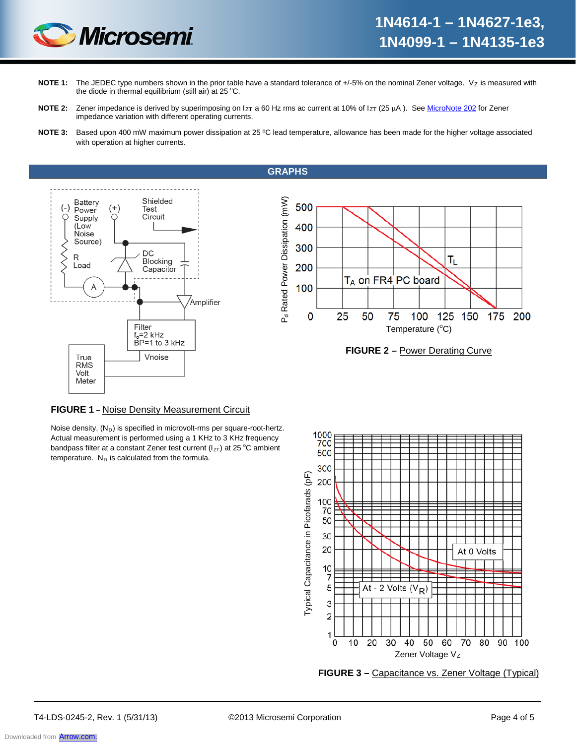

- NOTE 1: The JEDEC type numbers shown in the prior table have a standard tolerance of +/-5% on the nominal Zener voltage. Vz is measured with the diode in thermal equilibrium (still air) at 25 °C.
- NOTE 2: Zener impedance is derived by superimposing on I<sub>ZT</sub> a 60 Hz rms ac current at 10% of I<sub>ZT</sub> (25 µA). See MicroNote 202 for Zener impedance variation with different operating currents.
- **NOTE 3:** Based upon 400 mW maximum power dissipation at 25 ºC lead temperature, allowance has been made for the higher voltage associated with operation at higher currents.

**GRAPHS**







### **FIGURE 1 –** Noise Density Measurement Circuit

Noise density,  $(N_D)$  is specified in microvolt-rms per square-root-hertz. Actual measurement is performed using a 1 KHz to 3 KHz frequency bandpass filter at a constant Zener test current ( $I_{ZT}$ ) at 25 °C ambient temperature.  $N_D$  is calculated from the formula.



**FIGURE 3 –** Capacitance vs. Zener Voltage (Typical)